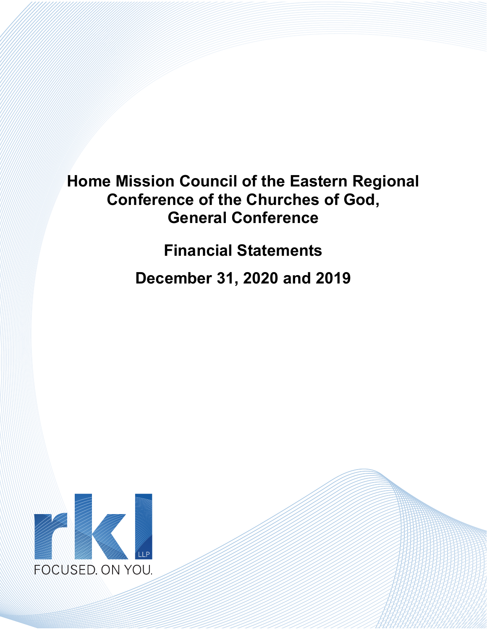**Financial Statements** 

**December 31, 2020 and 2019** 



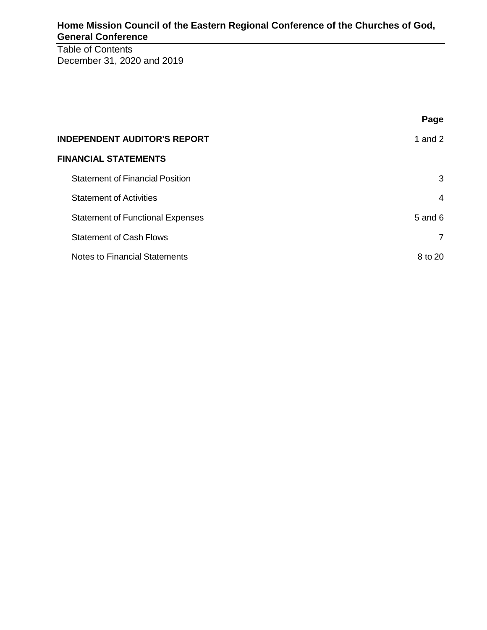Table of Contents December 31, 2020 and 2019

|                                         | Page      |
|-----------------------------------------|-----------|
| <b>INDEPENDENT AUDITOR'S REPORT</b>     | 1 and $2$ |
| <b>FINANCIAL STATEMENTS</b>             |           |
| <b>Statement of Financial Position</b>  | 3         |
| <b>Statement of Activities</b>          | 4         |
| <b>Statement of Functional Expenses</b> | 5 and 6   |
| <b>Statement of Cash Flows</b>          | 7         |
| <b>Notes to Financial Statements</b>    | 8 to 20   |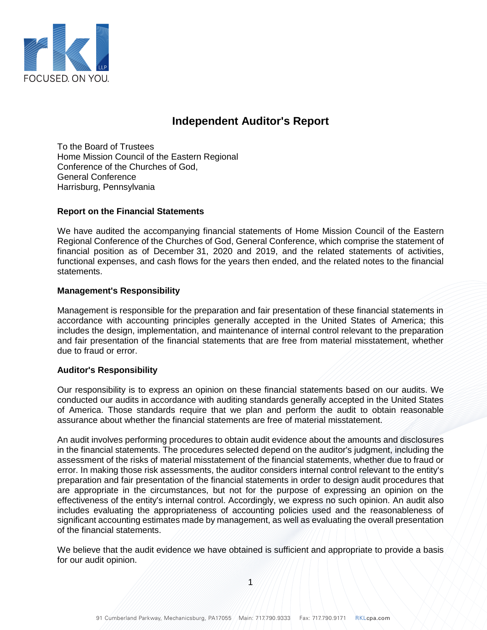

# **Independent Auditor's Report**

To the Board of Trustees Home Mission Council of the Eastern Regional Conference of the Churches of God, General Conference Harrisburg, Pennsylvania

#### **Report on the Financial Statements**

We have audited the accompanying financial statements of Home Mission Council of the Eastern Regional Conference of the Churches of God, General Conference, which comprise the statement of financial position as of December 31, 2020 and 2019, and the related statements of activities, functional expenses, and cash flows for the years then ended, and the related notes to the financial statements.

#### **Management's Responsibility**

Management is responsible for the preparation and fair presentation of these financial statements in accordance with accounting principles generally accepted in the United States of America; this includes the design, implementation, and maintenance of internal control relevant to the preparation and fair presentation of the financial statements that are free from material misstatement, whether due to fraud or error.

#### **Auditor's Responsibility**

Our responsibility is to express an opinion on these financial statements based on our audits. We conducted our audits in accordance with auditing standards generally accepted in the United States of America. Those standards require that we plan and perform the audit to obtain reasonable assurance about whether the financial statements are free of material misstatement.

An audit involves performing procedures to obtain audit evidence about the amounts and disclosures in the financial statements. The procedures selected depend on the auditor's judgment, including the assessment of the risks of material misstatement of the financial statements, whether due to fraud or error. In making those risk assessments, the auditor considers internal control relevant to the entity's preparation and fair presentation of the financial statements in order to design audit procedures that are appropriate in the circumstances, but not for the purpose of expressing an opinion on the effectiveness of the entity's internal control. Accordingly, we express no such opinion. An audit also includes evaluating the appropriateness of accounting policies used and the reasonableness of significant accounting estimates made by management, as well as evaluating the overall presentation of the financial statements.

We believe that the audit evidence we have obtained is sufficient and appropriate to provide a basis for our audit opinion.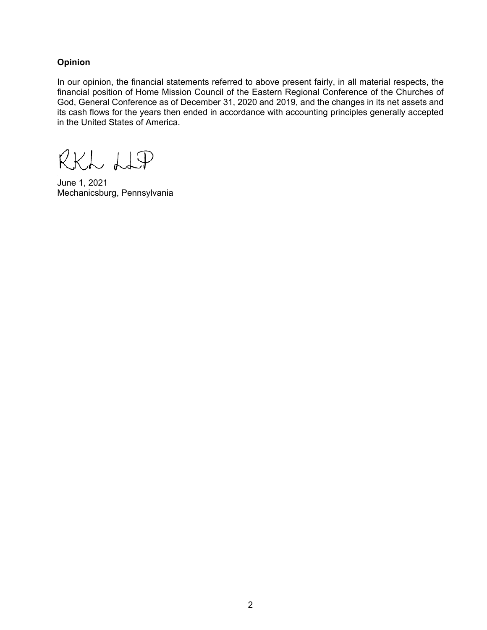#### **Opinion**

In our opinion, the financial statements referred to above present fairly, in all material respects, the financial position of Home Mission Council of the Eastern Regional Conference of the Churches of God, General Conference as of December 31, 2020 and 2019, and the changes in its net assets and its cash flows for the years then ended in accordance with accounting principles generally accepted in the United States of America.

RKL LIP

June 1, 2021 Mechanicsburg, Pennsylvania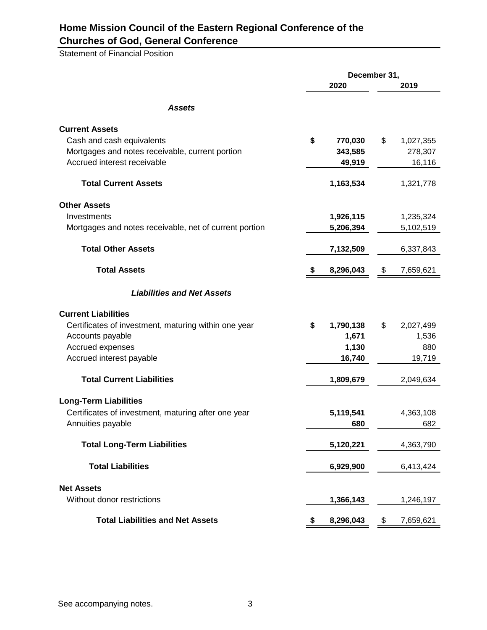Statement of Financial Position

|                                                        | December 31, |           |    |           |
|--------------------------------------------------------|--------------|-----------|----|-----------|
|                                                        |              | 2020      |    | 2019      |
| <b>Assets</b>                                          |              |           |    |           |
| <b>Current Assets</b>                                  |              |           |    |           |
| Cash and cash equivalents                              | \$           | 770,030   | \$ | 1,027,355 |
| Mortgages and notes receivable, current portion        |              | 343,585   |    | 278,307   |
| Accrued interest receivable                            |              | 49,919    |    | 16,116    |
| <b>Total Current Assets</b>                            |              | 1,163,534 |    | 1,321,778 |
| <b>Other Assets</b>                                    |              |           |    |           |
| Investments                                            |              | 1,926,115 |    | 1,235,324 |
| Mortgages and notes receivable, net of current portion |              | 5,206,394 |    | 5,102,519 |
| <b>Total Other Assets</b>                              |              | 7,132,509 |    | 6,337,843 |
| <b>Total Assets</b>                                    | S.           | 8,296,043 | \$ | 7,659,621 |
| <b>Liabilities and Net Assets</b>                      |              |           |    |           |
| <b>Current Liabilities</b>                             |              |           |    |           |
| Certificates of investment, maturing within one year   | \$           | 1,790,138 | \$ | 2,027,499 |
| Accounts payable                                       |              | 1,671     |    | 1,536     |
| Accrued expenses                                       |              | 1,130     |    | 880       |
| Accrued interest payable                               |              | 16,740    |    | 19,719    |
| <b>Total Current Liabilities</b>                       |              | 1,809,679 |    | 2,049,634 |
| <b>Long-Term Liabilities</b>                           |              |           |    |           |
| Certificates of investment, maturing after one year    |              | 5,119,541 |    | 4,363,108 |
| Annuities payable                                      |              | 680       |    | 682       |
| <b>Total Long-Term Liabilities</b>                     |              | 5,120,221 |    | 4,363,790 |
| <b>Total Liabilities</b>                               |              | 6,929,900 |    | 6,413,424 |
| <b>Net Assets</b>                                      |              |           |    |           |
| Without donor restrictions                             |              | 1,366,143 |    | 1,246,197 |
| <b>Total Liabilities and Net Assets</b>                | \$           | 8,296,043 | \$ | 7,659,621 |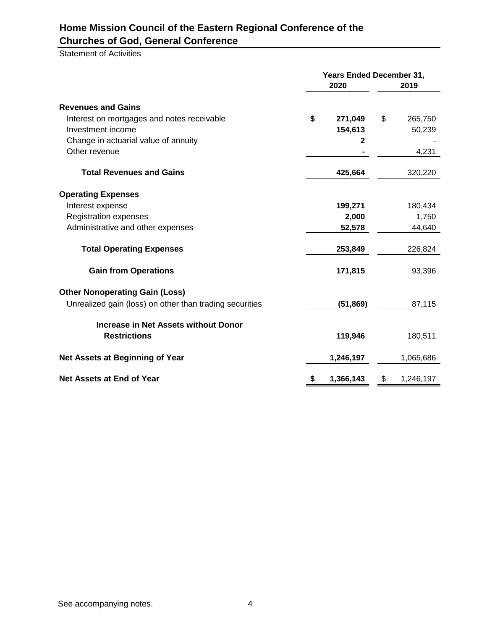Statement of Activities

|                                                         | <b>Years Ended December 31,</b> |              |    |           |
|---------------------------------------------------------|---------------------------------|--------------|----|-----------|
|                                                         | 2020                            |              |    | 2019      |
| <b>Revenues and Gains</b>                               |                                 |              |    |           |
| Interest on mortgages and notes receivable              | \$                              | 271,049      | \$ | 265,750   |
| Investment income                                       |                                 | 154,613      |    | 50,239    |
| Change in actuarial value of annuity                    |                                 | $\mathbf{2}$ |    |           |
| Other revenue                                           |                                 |              |    | 4,231     |
| <b>Total Revenues and Gains</b>                         |                                 | 425,664      |    | 320,220   |
|                                                         |                                 |              |    |           |
| <b>Operating Expenses</b>                               |                                 |              |    |           |
| Interest expense                                        |                                 | 199,271      |    | 180,434   |
| <b>Registration expenses</b>                            |                                 | 2,000        |    | 1,750     |
| Administrative and other expenses                       |                                 | 52,578       |    | 44,640    |
| <b>Total Operating Expenses</b>                         |                                 | 253,849      |    | 226,824   |
| <b>Gain from Operations</b>                             |                                 | 171,815      |    | 93,396    |
| <b>Other Nonoperating Gain (Loss)</b>                   |                                 |              |    |           |
| Unrealized gain (loss) on other than trading securities |                                 | (51, 869)    |    | 87,115    |
| <b>Increase in Net Assets without Donor</b>             |                                 |              |    |           |
| <b>Restrictions</b>                                     |                                 | 119,946      |    | 180,511   |
| <b>Net Assets at Beginning of Year</b>                  |                                 | 1,246,197    |    | 1,065,686 |
| <b>Net Assets at End of Year</b>                        | S                               | 1,366,143    | S  | 1,246,197 |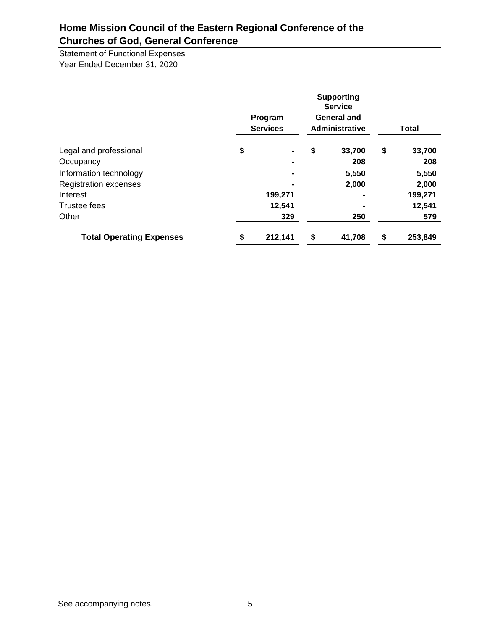# **Churches of God, General Conference Home Mission Council of the Eastern Regional Conference of the**

Statement of Functional Expenses Year Ended December 31, 2020

|                                 |                 | <b>Supporting</b><br><b>Service</b> |    |              |
|---------------------------------|-----------------|-------------------------------------|----|--------------|
|                                 | Program         | General and                         |    |              |
|                                 | <b>Services</b> | Administrative                      |    | <b>Total</b> |
| Legal and professional          | \$              | \$<br>33,700                        | \$ | 33,700       |
| Occupancy                       |                 | 208                                 |    | 208          |
| Information technology          |                 | 5,550                               |    | 5,550        |
| <b>Registration expenses</b>    |                 | 2,000                               |    | 2,000        |
| Interest                        | 199,271         |                                     |    | 199,271      |
| Trustee fees                    | 12,541          |                                     |    | 12,541       |
| Other                           | 329             | 250                                 |    | 579          |
| <b>Total Operating Expenses</b> | \$<br>212,141   | \$<br>41,708                        | S  | 253,849      |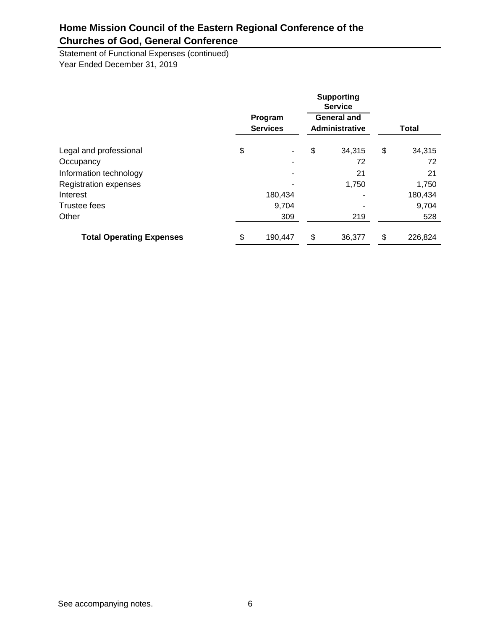Statement of Functional Expenses (continued) Year Ended December 31, 2019

|                                 |                 | <b>Supporting</b><br><b>Service</b> |               |
|---------------------------------|-----------------|-------------------------------------|---------------|
|                                 | Program         | <b>General and</b>                  |               |
|                                 | <b>Services</b> | <b>Administrative</b>               | <b>Total</b>  |
| Legal and professional          | \$              | \$<br>34,315                        | \$<br>34,315  |
| Occupancy                       |                 | 72                                  | 72            |
| Information technology          |                 | 21                                  | 21            |
| <b>Registration expenses</b>    |                 | 1,750                               | 1,750         |
| Interest                        | 180,434         |                                     | 180,434       |
| Trustee fees                    | 9,704           |                                     | 9,704         |
| Other                           | 309             | 219                                 | 528           |
| <b>Total Operating Expenses</b> | \$<br>190,447   | \$<br>36,377                        | \$<br>226,824 |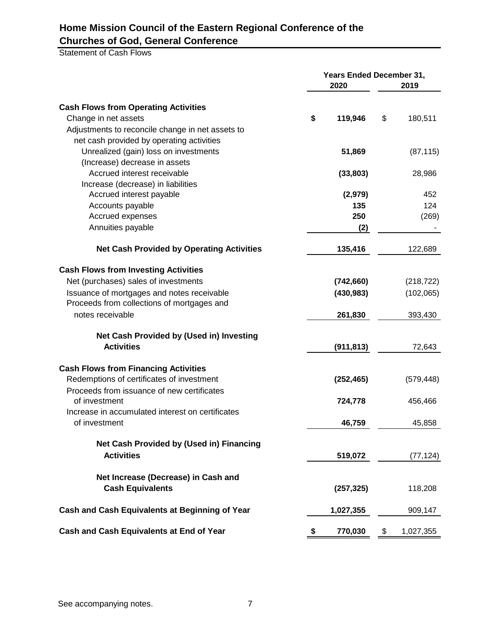Statement of Cash Flows

|                                                                                          | Years Ended December 31,<br>2020 | 2019            |
|------------------------------------------------------------------------------------------|----------------------------------|-----------------|
| <b>Cash Flows from Operating Activities</b>                                              |                                  |                 |
| Change in net assets                                                                     | \$<br>119,946                    | \$<br>180,511   |
| Adjustments to reconcile change in net assets to                                         |                                  |                 |
| net cash provided by operating activities                                                |                                  |                 |
| Unrealized (gain) loss on investments                                                    | 51,869                           | (87, 115)       |
| (Increase) decrease in assets<br>Accrued interest receivable                             |                                  | 28,986          |
| Increase (decrease) in liabilities                                                       | (33, 803)                        |                 |
| Accrued interest payable                                                                 | (2,979)                          | 452             |
| Accounts payable                                                                         | 135                              | 124             |
| Accrued expenses                                                                         | 250                              | (269)           |
| Annuities payable                                                                        | (2)                              |                 |
| <b>Net Cash Provided by Operating Activities</b>                                         | 135,416                          | 122,689         |
|                                                                                          |                                  |                 |
| <b>Cash Flows from Investing Activities</b>                                              |                                  |                 |
| Net (purchases) sales of investments                                                     | (742, 660)                       | (218, 722)      |
| Issuance of mortgages and notes receivable<br>Proceeds from collections of mortgages and | (430, 983)                       | (102,065)       |
| notes receivable                                                                         | 261,830                          | 393,430         |
|                                                                                          |                                  |                 |
| <b>Net Cash Provided by (Used in) Investing</b>                                          |                                  |                 |
| <b>Activities</b>                                                                        | (911, 813)                       | 72,643          |
| <b>Cash Flows from Financing Activities</b>                                              |                                  |                 |
| Redemptions of certificates of investment                                                | (252, 465)                       | (579, 448)      |
| Proceeds from issuance of new certificates                                               |                                  |                 |
| of investment                                                                            | 724,778                          | 456,466         |
| Increase in accumulated interest on certificates                                         |                                  |                 |
| of investment                                                                            | 46,759                           | 45,858          |
| Net Cash Provided by (Used in) Financing                                                 |                                  |                 |
| <b>Activities</b>                                                                        | 519,072                          | (77, 124)       |
| Net Increase (Decrease) in Cash and                                                      |                                  |                 |
| <b>Cash Equivalents</b>                                                                  | (257, 325)                       | 118,208         |
| Cash and Cash Equivalents at Beginning of Year                                           | 1,027,355                        | 909,147         |
| Cash and Cash Equivalents at End of Year                                                 | \$<br>770,030                    | \$<br>1,027,355 |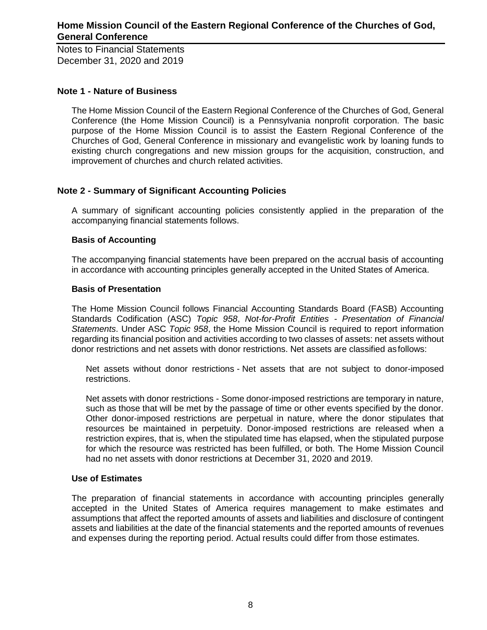# **Note 1 - Nature of Business**

The Home Mission Council of the Eastern Regional Conference of the Churches of God, General Conference (the Home Mission Council) is a Pennsylvania nonprofit corporation. The basic purpose of the Home Mission Council is to assist the Eastern Regional Conference of the Churches of God, General Conference in missionary and evangelistic work by loaning funds to existing church congregations and new mission groups for the acquisition, construction, and improvement of churches and church related activities.

# **Note 2 - Summary of Significant Accounting Policies**

A summary of significant accounting policies consistently applied in the preparation of the accompanying financial statements follows.

# **Basis of Accounting**

The accompanying financial statements have been prepared on the accrual basis of accounting in accordance with accounting principles generally accepted in the United States of America.

# **Basis of Presentation**

The Home Mission Council follows Financial Accounting Standards Board (FASB) Accounting Standards Codification (ASC) *Topic 958*, *Not-for-Profit Entities - Presentation of Financial Statements*. Under ASC *Topic 958*, the Home Mission Council is required to report information regarding its financial position and activities according to two classes of assets: net assets without donor restrictions and net assets with donor restrictions. Net assets are classified asfollows:

Net assets without donor restrictions - Net assets that are not subject to donor-imposed restrictions.

Net assets with donor restrictions - Some donor-imposed restrictions are temporary in nature, such as those that will be met by the passage of time or other events specified by the donor. Other donor-imposed restrictions are perpetual in nature, where the donor stipulates that resources be maintained in perpetuity. Donor-imposed restrictions are released when a restriction expires, that is, when the stipulated time has elapsed, when the stipulated purpose for which the resource was restricted has been fulfilled, or both. The Home Mission Council had no net assets with donor restrictions at December 31, 2020 and 2019.

# **Use of Estimates**

The preparation of financial statements in accordance with accounting principles generally accepted in the United States of America requires management to make estimates and assumptions that affect the reported amounts of assets and liabilities and disclosure of contingent assets and liabilities at the date of the financial statements and the reported amounts of revenues and expenses during the reporting period. Actual results could differ from those estimates.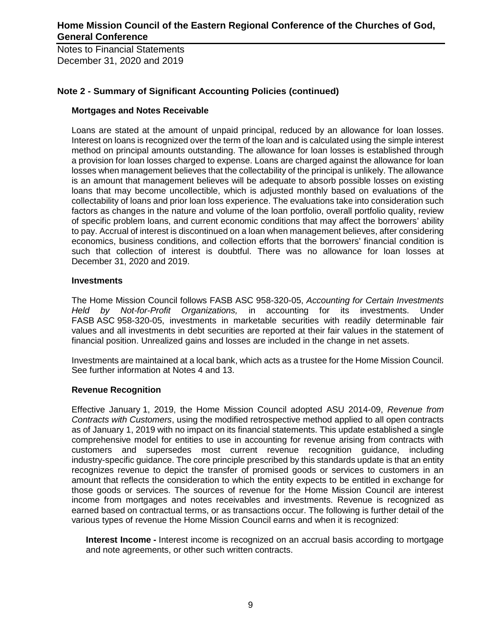# **Note 2 - Summary of Significant Accounting Policies (continued)**

# **Mortgages and Notes Receivable**

Loans are stated at the amount of unpaid principal, reduced by an allowance for loan losses. Interest on loans is recognized over the term of the loan and is calculated using the simple interest method on principal amounts outstanding. The allowance for loan losses is established through a provision for loan losses charged to expense. Loans are charged against the allowance for loan losses when management believes that the collectability of the principal is unlikely. The allowance is an amount that management believes will be adequate to absorb possible losses on existing loans that may become uncollectible, which is adjusted monthly based on evaluations of the collectability of loans and prior loan loss experience. The evaluations take into consideration such factors as changes in the nature and volume of the loan portfolio, overall portfolio quality, review of specific problem loans, and current economic conditions that may affect the borrowers' ability to pay. Accrual of interest is discontinued on a loan when management believes, after considering economics, business conditions, and collection efforts that the borrowers' financial condition is such that collection of interest is doubtful. There was no allowance for loan losses at December 31, 2020 and 2019.

# **Investments**

The Home Mission Council follows FASB ASC 958-320-05, *Accounting for Certain Investments Held by Not-for-Profit Organizations,* in accounting for its investments. Under FASB ASC 958-320-05, investments in marketable securities with readily determinable fair values and all investments in debt securities are reported at their fair values in the statement of financial position. Unrealized gains and losses are included in the change in net assets.

Investments are maintained at a local bank, which acts as a trustee for the Home Mission Council. See further information at Notes 4 and 13.

# **Revenue Recognition**

Effective January 1, 2019, the Home Mission Council adopted ASU 2014-09, *Revenue from Contracts with Customers*, using the modified retrospective method applied to all open contracts as of January 1, 2019 with no impact on its financial statements. This update established a single comprehensive model for entities to use in accounting for revenue arising from contracts with customers and supersedes most current revenue recognition guidance, including industry-specific guidance. The core principle prescribed by this standards update is that an entity recognizes revenue to depict the transfer of promised goods or services to customers in an amount that reflects the consideration to which the entity expects to be entitled in exchange for those goods or services. The sources of revenue for the Home Mission Council are interest income from mortgages and notes receivables and investments. Revenue is recognized as earned based on contractual terms, or as transactions occur. The following is further detail of the various types of revenue the Home Mission Council earns and when it is recognized:

**Interest Income -** Interest income is recognized on an accrual basis according to mortgage and note agreements, or other such written contracts.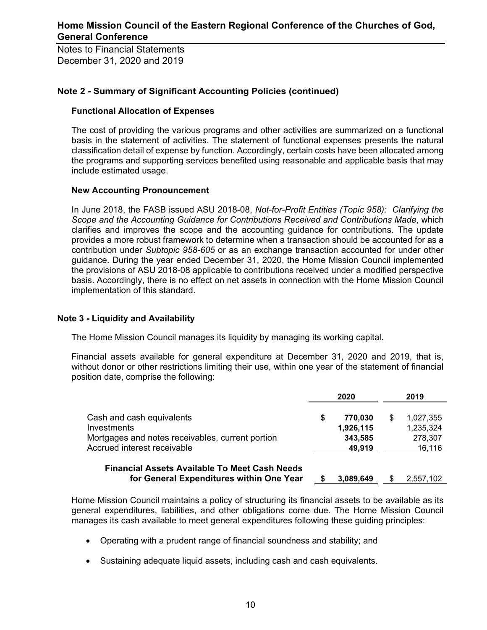# **Note 2 - Summary of Significant Accounting Policies (continued)**

# **Functional Allocation of Expenses**

The cost of providing the various programs and other activities are summarized on a functional basis in the statement of activities. The statement of functional expenses presents the natural classification detail of expense by function. Accordingly, certain costs have been allocated among the programs and supporting services benefited using reasonable and applicable basis that may include estimated usage.

# **New Accounting Pronouncement**

In June 2018, the FASB issued ASU 2018-08, *Not-for-Profit Entities (Topic 958): Clarifying the Scope and the Accounting Guidance for Contributions Received and Contributions Made*, which clarifies and improves the scope and the accounting guidance for contributions. The update provides a more robust framework to determine when a transaction should be accounted for as a contribution under *Subtopic 958-605* or as an exchange transaction accounted for under other guidance. During the year ended December 31, 2020, the Home Mission Council implemented the provisions of ASU 2018-08 applicable to contributions received under a modified perspective basis. Accordingly, there is no effect on net assets in connection with the Home Mission Council implementation of this standard.

# **Note 3 - Liquidity and Availability**

The Home Mission Council manages its liquidity by managing its working capital.

Financial assets available for general expenditure at December 31, 2020 and 2019, that is, without donor or other restrictions limiting their use, within one year of the statement of financial position date, comprise the following:

|                                                                                                  |   | 2020      |   | 2019      |
|--------------------------------------------------------------------------------------------------|---|-----------|---|-----------|
| Cash and cash equivalents                                                                        | S | 770,030   | S | 1,027,355 |
| Investments                                                                                      |   | 1,926,115 |   | 1,235,324 |
| Mortgages and notes receivables, current portion                                                 |   | 343,585   |   | 278,307   |
| Accrued interest receivable                                                                      |   | 49,919    |   | 16,116    |
| <b>Financial Assets Available To Meet Cash Needs</b><br>for General Expenditures within One Year |   | 3,089,649 |   | 2,557,102 |

Home Mission Council maintains a policy of structuring its financial assets to be available as its general expenditures, liabilities, and other obligations come due. The Home Mission Council manages its cash available to meet general expenditures following these guiding principles:

- Operating with a prudent range of financial soundness and stability; and
- Sustaining adequate liquid assets, including cash and cash equivalents.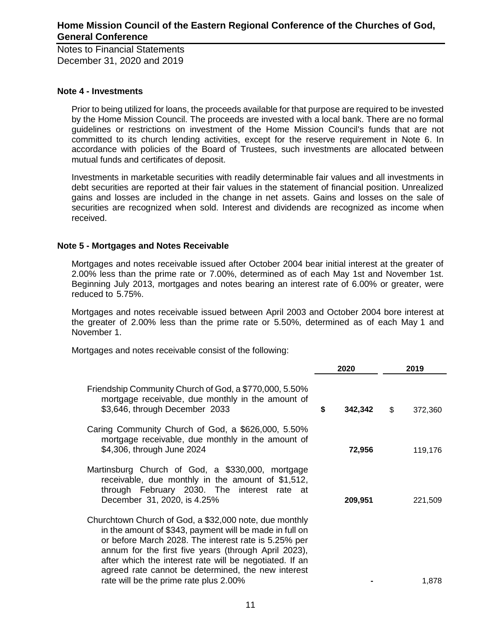#### **Note 4 - Investments**

Prior to being utilized for loans, the proceeds available for that purpose are required to be invested by the Home Mission Council. The proceeds are invested with a local bank. There are no formal guidelines or restrictions on investment of the Home Mission Council's funds that are not committed to its church lending activities, except for the reserve requirement in Note 6. In accordance with policies of the Board of Trustees, such investments are allocated between mutual funds and certificates of deposit.

Investments in marketable securities with readily determinable fair values and all investments in debt securities are reported at their fair values in the statement of financial position. Unrealized gains and losses are included in the change in net assets. Gains and losses on the sale of securities are recognized when sold. Interest and dividends are recognized as income when received.

# **Note 5 - Mortgages and Notes Receivable**

Mortgages and notes receivable issued after October 2004 bear initial interest at the greater of 2.00% less than the prime rate or 7.00%, determined as of each May 1st and November 1st. Beginning July 2013, mortgages and notes bearing an interest rate of 6.00% or greater, were reduced to 5.75%.

Mortgages and notes receivable issued between April 2003 and October 2004 bore interest at the greater of 2.00% less than the prime rate or 5.50%, determined as of each May 1 and November 1.

Mortgages and notes receivable consist of the following:

|                                                                                                                                                                                                                                                                                                                                                    | 2020 |         | 2019 |         |
|----------------------------------------------------------------------------------------------------------------------------------------------------------------------------------------------------------------------------------------------------------------------------------------------------------------------------------------------------|------|---------|------|---------|
| Friendship Community Church of God, a \$770,000, 5.50%<br>mortgage receivable, due monthly in the amount of<br>\$3,646, through December 2033                                                                                                                                                                                                      | \$   | 342,342 | \$   | 372,360 |
| Caring Community Church of God, a \$626,000, 5.50%<br>mortgage receivable, due monthly in the amount of<br>\$4,306, through June 2024                                                                                                                                                                                                              |      | 72,956  |      | 119,176 |
| Martinsburg Church of God, a \$330,000, mortgage<br>receivable, due monthly in the amount of \$1,512,<br>through February 2030. The interest rate at<br>December 31, 2020, is 4.25%                                                                                                                                                                |      | 209,951 |      | 221,509 |
| Churchtown Church of God, a \$32,000 note, due monthly<br>in the amount of \$343, payment will be made in full on<br>or before March 2028. The interest rate is 5.25% per<br>annum for the first five years (through April 2023),<br>after which the interest rate will be negotiated. If an<br>agreed rate cannot be determined, the new interest |      |         |      |         |
| rate will be the prime rate plus 2.00%                                                                                                                                                                                                                                                                                                             |      |         |      | 1.878   |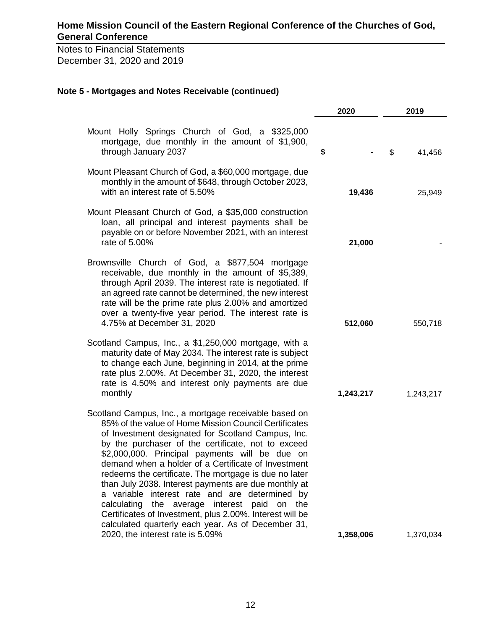Notes to Financial Statements December 31, 2020 and 2019

# **Note 5 - Mortgages and Notes Receivable (continued)**

|                                                                                                                                                                                                                                                                                                                                                                                                                                                                                                                                                                                                                                                                                                                       | 2020      | 2019         |
|-----------------------------------------------------------------------------------------------------------------------------------------------------------------------------------------------------------------------------------------------------------------------------------------------------------------------------------------------------------------------------------------------------------------------------------------------------------------------------------------------------------------------------------------------------------------------------------------------------------------------------------------------------------------------------------------------------------------------|-----------|--------------|
| Mount Holly Springs Church of God, a \$325,000<br>mortgage, due monthly in the amount of \$1,900,<br>through January 2037                                                                                                                                                                                                                                                                                                                                                                                                                                                                                                                                                                                             | \$        | \$<br>41,456 |
| Mount Pleasant Church of God, a \$60,000 mortgage, due<br>monthly in the amount of \$648, through October 2023,<br>with an interest rate of 5.50%                                                                                                                                                                                                                                                                                                                                                                                                                                                                                                                                                                     | 19,436    | 25,949       |
| Mount Pleasant Church of God, a \$35,000 construction<br>loan, all principal and interest payments shall be<br>payable on or before November 2021, with an interest<br>rate of 5.00%                                                                                                                                                                                                                                                                                                                                                                                                                                                                                                                                  | 21,000    |              |
| Brownsville Church of God, a \$877,504 mortgage<br>receivable, due monthly in the amount of \$5,389,<br>through April 2039. The interest rate is negotiated. If<br>an agreed rate cannot be determined, the new interest<br>rate will be the prime rate plus 2.00% and amortized<br>over a twenty-five year period. The interest rate is<br>4.75% at December 31, 2020                                                                                                                                                                                                                                                                                                                                                | 512,060   | 550,718      |
| Scotland Campus, Inc., a \$1,250,000 mortgage, with a<br>maturity date of May 2034. The interest rate is subject<br>to change each June, beginning in 2014, at the prime<br>rate plus 2.00%. At December 31, 2020, the interest<br>rate is 4.50% and interest only payments are due<br>monthly                                                                                                                                                                                                                                                                                                                                                                                                                        | 1,243,217 | 1,243,217    |
| Scotland Campus, Inc., a mortgage receivable based on<br>85% of the value of Home Mission Council Certificates<br>of Investment designated for Scotland Campus, Inc.<br>by the purchaser of the certificate, not to exceed<br>\$2,000,000. Principal payments will be due on<br>demand when a holder of a Certificate of Investment<br>redeems the certificate. The mortgage is due no later<br>than July 2038. Interest payments are due monthly at<br>a variable interest rate and are determined by<br>calculating<br>the average interest paid<br>on<br>the<br>Certificates of Investment, plus 2.00%. Interest will be<br>calculated quarterly each year. As of December 31,<br>2020, the interest rate is 5.09% | 1,358,006 | 1,370,034    |
|                                                                                                                                                                                                                                                                                                                                                                                                                                                                                                                                                                                                                                                                                                                       |           |              |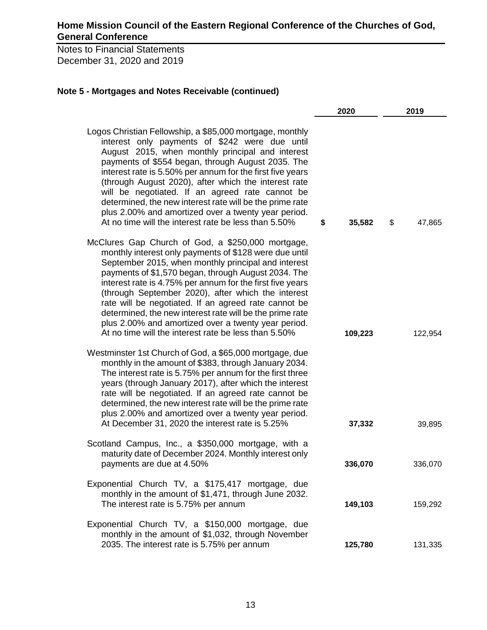Notes to Financial Statements December 31, 2020 and 2019

# **Note 5 - Mortgages and Notes Receivable (continued)**

|                                                                                                                                                                                                                                                                                                                                                                                                                                                                                                                                                                                 | 2020         | 2019         |
|---------------------------------------------------------------------------------------------------------------------------------------------------------------------------------------------------------------------------------------------------------------------------------------------------------------------------------------------------------------------------------------------------------------------------------------------------------------------------------------------------------------------------------------------------------------------------------|--------------|--------------|
| Logos Christian Fellowship, a \$85,000 mortgage, monthly<br>interest only payments of \$242 were due until<br>August 2015, when monthly principal and interest<br>payments of \$554 began, through August 2035. The<br>interest rate is 5.50% per annum for the first five years<br>(through August 2020), after which the interest rate<br>will be negotiated. If an agreed rate cannot be<br>determined, the new interest rate will be the prime rate<br>plus 2.00% and amortized over a twenty year period.<br>At no time will the interest rate be less than 5.50%          | \$<br>35,582 | \$<br>47,865 |
| McClures Gap Church of God, a \$250,000 mortgage,<br>monthly interest only payments of \$128 were due until<br>September 2015, when monthly principal and interest<br>payments of \$1,570 began, through August 2034. The<br>interest rate is 4.75% per annum for the first five years<br>(through September 2020), after which the interest<br>rate will be negotiated. If an agreed rate cannot be<br>determined, the new interest rate will be the prime rate<br>plus 2.00% and amortized over a twenty year period.<br>At no time will the interest rate be less than 5.50% | 109,223      | 122,954      |
| Westminster 1st Church of God, a \$65,000 mortgage, due<br>monthly in the amount of \$383, through January 2034.<br>The interest rate is 5.75% per annum for the first three<br>years (through January 2017), after which the interest<br>rate will be negotiated. If an agreed rate cannot be<br>determined, the new interest rate will be the prime rate<br>plus 2.00% and amortized over a twenty year period.<br>At December 31, 2020 the interest rate is 5.25%                                                                                                            | 37,332       | 39,895       |
| Scotland Campus, Inc., a \$350,000 mortgage, with a<br>maturity date of December 2024. Monthly interest only<br>payments are due at 4.50%                                                                                                                                                                                                                                                                                                                                                                                                                                       | 336,070      | 336,070      |
| Exponential Church TV, a \$175,417 mortgage, due<br>monthly in the amount of \$1,471, through June 2032.<br>The interest rate is 5.75% per annum                                                                                                                                                                                                                                                                                                                                                                                                                                | 149,103      | 159,292      |
| Exponential Church TV, a \$150,000 mortgage, due<br>monthly in the amount of \$1,032, through November<br>2035. The interest rate is 5.75% per annum                                                                                                                                                                                                                                                                                                                                                                                                                            | 125,780      | 131,335      |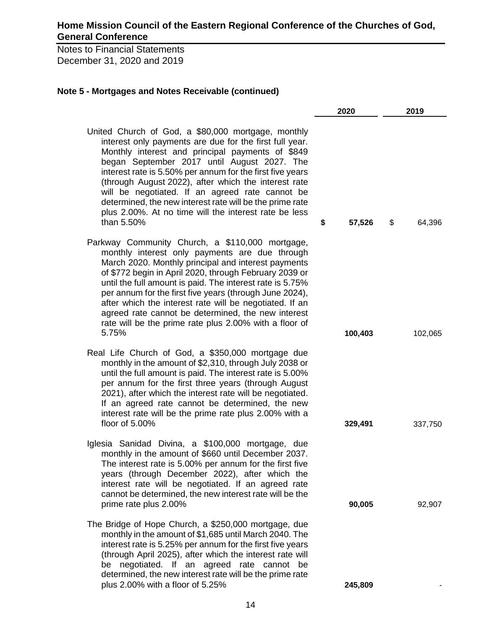Notes to Financial Statements December 31, 2020 and 2019

# **Note 5 - Mortgages and Notes Receivable (continued)**

|                                                                                                                                                                                                                                                                                                                                                                                                                                                                                                                                | 2020         | 2019         |
|--------------------------------------------------------------------------------------------------------------------------------------------------------------------------------------------------------------------------------------------------------------------------------------------------------------------------------------------------------------------------------------------------------------------------------------------------------------------------------------------------------------------------------|--------------|--------------|
| United Church of God, a \$80,000 mortgage, monthly<br>interest only payments are due for the first full year.<br>Monthly interest and principal payments of \$849<br>began September 2017 until August 2027. The<br>interest rate is 5.50% per annum for the first five years<br>(through August 2022), after which the interest rate<br>will be negotiated. If an agreed rate cannot be<br>determined, the new interest rate will be the prime rate<br>plus 2.00%. At no time will the interest rate be less<br>than 5.50%    | 57,526<br>\$ | 64,396<br>\$ |
| Parkway Community Church, a \$110,000 mortgage,<br>monthly interest only payments are due through<br>March 2020. Monthly principal and interest payments<br>of \$772 begin in April 2020, through February 2039 or<br>until the full amount is paid. The interest rate is 5.75%<br>per annum for the first five years (through June 2024),<br>after which the interest rate will be negotiated. If an<br>agreed rate cannot be determined, the new interest<br>rate will be the prime rate plus 2.00% with a floor of<br>5.75% | 100,403      | 102,065      |
| Real Life Church of God, a \$350,000 mortgage due<br>monthly in the amount of \$2,310, through July 2038 or<br>until the full amount is paid. The interest rate is 5.00%<br>per annum for the first three years (through August<br>2021), after which the interest rate will be negotiated.<br>If an agreed rate cannot be determined, the new<br>interest rate will be the prime rate plus 2.00% with a<br>floor of $5.00\%$                                                                                                  | 329,491      | 337,750      |
| Iglesia Sanidad Divina, a \$100,000 mortgage, due<br>monthly in the amount of \$660 until December 2037.<br>The interest rate is 5.00% per annum for the first five<br>years (through December 2022), after which the<br>interest rate will be negotiated. If an agreed rate<br>cannot be determined, the new interest rate will be the<br>prime rate plus 2.00%                                                                                                                                                               | 90,005       | 92,907       |
| The Bridge of Hope Church, a \$250,000 mortgage, due<br>monthly in the amount of \$1,685 until March 2040. The<br>interest rate is 5.25% per annum for the first five years<br>(through April 2025), after which the interest rate will<br>be negotiated. If an agreed rate cannot be<br>determined, the new interest rate will be the prime rate<br>plus 2.00% with a floor of 5.25%                                                                                                                                          | 245,809      |              |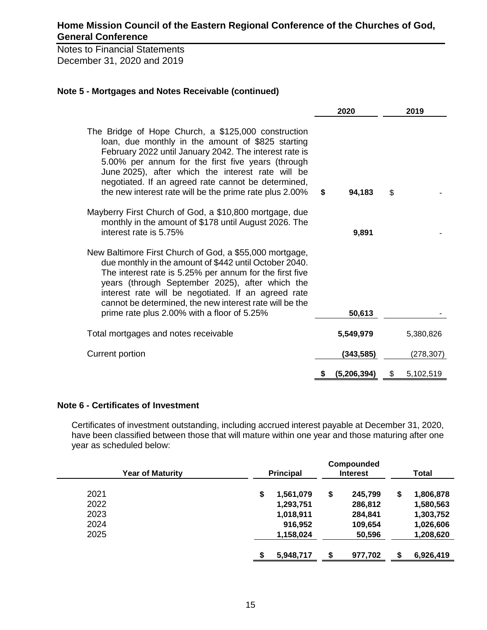Notes to Financial Statements December 31, 2020 and 2019

# **Note 5 - Mortgages and Notes Receivable (continued)**

|                                                                                                                                                                                                                                                                                                                                                                                                  | 2020                | 2019            |
|--------------------------------------------------------------------------------------------------------------------------------------------------------------------------------------------------------------------------------------------------------------------------------------------------------------------------------------------------------------------------------------------------|---------------------|-----------------|
| The Bridge of Hope Church, a \$125,000 construction<br>loan, due monthly in the amount of \$825 starting<br>February 2022 until January 2042. The interest rate is<br>5.00% per annum for the first five years (through<br>June 2025), after which the interest rate will be<br>negotiated. If an agreed rate cannot be determined,<br>the new interest rate will be the prime rate plus 2.00%   | \$<br>94,183        | \$              |
| Mayberry First Church of God, a \$10,800 mortgage, due<br>monthly in the amount of \$178 until August 2026. The<br>interest rate is 5.75%                                                                                                                                                                                                                                                        | 9,891               |                 |
| New Baltimore First Church of God, a \$55,000 mortgage,<br>due monthly in the amount of \$442 until October 2040.<br>The interest rate is 5.25% per annum for the first five<br>years (through September 2025), after which the<br>interest rate will be negotiated. If an agreed rate<br>cannot be determined, the new interest rate will be the<br>prime rate plus 2.00% with a floor of 5.25% | 50,613              |                 |
| Total mortgages and notes receivable                                                                                                                                                                                                                                                                                                                                                             | 5,549,979           | 5,380,826       |
| Current portion                                                                                                                                                                                                                                                                                                                                                                                  | (343, 585)          | (278, 307)      |
|                                                                                                                                                                                                                                                                                                                                                                                                  | (5, 206, 394)<br>\$ | \$<br>5,102,519 |

## **Note 6 - Certificates of Investment**

Certificates of investment outstanding, including accrued interest payable at December 31, 2020, have been classified between those that will mature within one year and those maturing after one year as scheduled below:

| <b>Year of Maturity</b> | <b>Principal</b> |           | Compounded<br><b>Interest</b> |         | Total |           |
|-------------------------|------------------|-----------|-------------------------------|---------|-------|-----------|
| 2021                    | \$               | 1,561,079 | \$                            | 245,799 | \$    | 1,806,878 |
| 2022                    |                  | 1,293,751 |                               | 286,812 |       | 1,580,563 |
| 2023                    |                  | 1,018,911 |                               | 284,841 |       | 1,303,752 |
| 2024                    |                  | 916,952   |                               | 109,654 |       | 1,026,606 |
| 2025                    |                  | 1,158,024 |                               | 50,596  |       | 1,208,620 |
|                         | \$               | 5,948,717 |                               | 977,702 |       | 6,926,419 |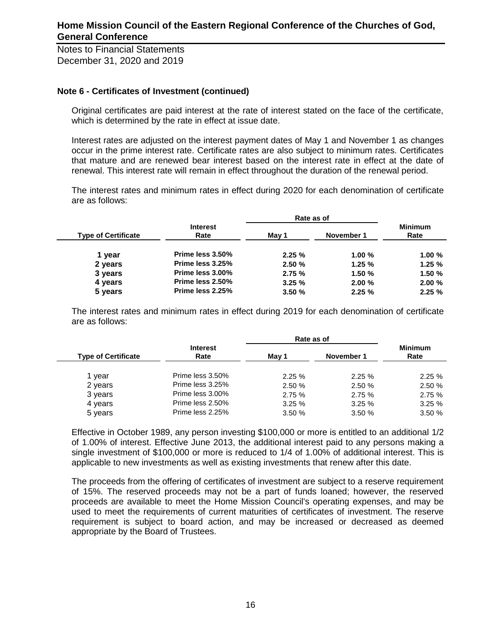# **Note 6 - Certificates of Investment (continued)**

Original certificates are paid interest at the rate of interest stated on the face of the certificate, which is determined by the rate in effect at issue date.

Interest rates are adjusted on the interest payment dates of May 1 and November 1 as changes occur in the prime interest rate. Certificate rates are also subject to minimum rates. Certificates that mature and are renewed bear interest based on the interest rate in effect at the date of renewal. This interest rate will remain in effect throughout the duration of the renewal period.

The interest rates and minimum rates in effect during 2020 for each denomination of certificate are as follows:

| <b>Type of Certificate</b> | <b>Interest</b><br>Rate | May 1 | November 1 | <b>Minimum</b><br>Rate |  |
|----------------------------|-------------------------|-------|------------|------------------------|--|
| 1 year                     | Prime less 3.50%        | 2.25% | 1.00 $%$   | 1.00%                  |  |
| 2 years                    | Prime less 3.25%        | 2.50% | 1.25%      | 1.25%                  |  |
| 3 years                    | Prime less 3.00%        | 2.75% | 1.50%      | 1.50%                  |  |
| 4 years                    | Prime less 2.50%        | 3.25% | 2.00%      | 2.00%                  |  |
| 5 years                    | Prime less 2.25%        | 3.50% | 2.25%      | 2.25%                  |  |

The interest rates and minimum rates in effect during 2019 for each denomination of certificate are as follows:

| <b>Type of Certificate</b> |                         |       |            |                        |
|----------------------------|-------------------------|-------|------------|------------------------|
|                            | <b>Interest</b><br>Rate | May 1 | November 1 | <b>Minimum</b><br>Rate |
| 1 year                     | Prime less 3.50%        | 2.25% | 2.25%      | 2.25%                  |
| 2 years                    | Prime less 3.25%        | 2.50% | 2.50 %     | 2.50 %                 |
| 3 years                    | Prime less 3.00%        | 2.75% | 2.75%      | 2.75 %                 |
| 4 years                    | Prime less 2.50%        | 3.25% | 3.25%      | 3.25%                  |
| 5 years                    | Prime less 2.25%        | 3.50% | 3.50%      | 3.50%                  |

Effective in October 1989, any person investing \$100,000 or more is entitled to an additional 1/2 of 1.00% of interest. Effective June 2013, the additional interest paid to any persons making a single investment of \$100,000 or more is reduced to 1/4 of 1.00% of additional interest. This is applicable to new investments as well as existing investments that renew after this date.

The proceeds from the offering of certificates of investment are subject to a reserve requirement of 15%. The reserved proceeds may not be a part of funds loaned; however, the reserved proceeds are available to meet the Home Mission Council's operating expenses, and may be used to meet the requirements of current maturities of certificates of investment. The reserve requirement is subject to board action, and may be increased or decreased as deemed appropriate by the Board of Trustees.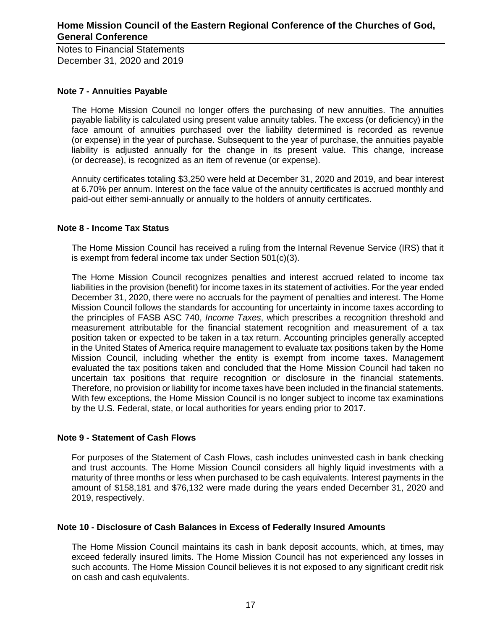# **Note 7 - Annuities Payable**

The Home Mission Council no longer offers the purchasing of new annuities. The annuities payable liability is calculated using present value annuity tables. The excess (or deficiency) in the face amount of annuities purchased over the liability determined is recorded as revenue (or expense) in the year of purchase. Subsequent to the year of purchase, the annuities payable liability is adjusted annually for the change in its present value. This change, increase (or decrease), is recognized as an item of revenue (or expense).

Annuity certificates totaling \$3,250 were held at December 31, 2020 and 2019, and bear interest at 6.70% per annum. Interest on the face value of the annuity certificates is accrued monthly and paid-out either semi-annually or annually to the holders of annuity certificates.

# **Note 8 - Income Tax Status**

The Home Mission Council has received a ruling from the Internal Revenue Service (IRS) that it is exempt from federal income tax under Section 501(c)(3).

The Home Mission Council recognizes penalties and interest accrued related to income tax liabilities in the provision (benefit) for income taxes in its statement of activities. For the year ended December 31, 2020, there were no accruals for the payment of penalties and interest. The Home Mission Council follows the standards for accounting for uncertainty in income taxes according to the principles of FASB ASC 740, *Income Taxes*, which prescribes a recognition threshold and measurement attributable for the financial statement recognition and measurement of a tax position taken or expected to be taken in a tax return. Accounting principles generally accepted in the United States of America require management to evaluate tax positions taken by the Home Mission Council, including whether the entity is exempt from income taxes. Management evaluated the tax positions taken and concluded that the Home Mission Council had taken no uncertain tax positions that require recognition or disclosure in the financial statements. Therefore, no provision or liability for income taxes have been included in the financial statements. With few exceptions, the Home Mission Council is no longer subject to income tax examinations by the U.S. Federal, state, or local authorities for years ending prior to 2017.

# **Note 9 - Statement of Cash Flows**

For purposes of the Statement of Cash Flows, cash includes uninvested cash in bank checking and trust accounts. The Home Mission Council considers all highly liquid investments with a maturity of three months or less when purchased to be cash equivalents. Interest payments in the amount of \$158,181 and \$76,132 were made during the years ended December 31, 2020 and 2019, respectively.

# **Note 10 - Disclosure of Cash Balances in Excess of Federally Insured Amounts**

The Home Mission Council maintains its cash in bank deposit accounts, which, at times, may exceed federally insured limits. The Home Mission Council has not experienced any losses in such accounts. The Home Mission Council believes it is not exposed to any significant credit risk on cash and cash equivalents.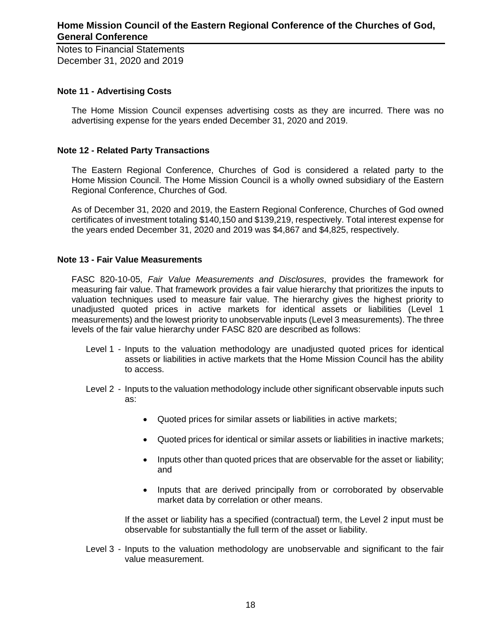# **Note 11 - Advertising Costs**

The Home Mission Council expenses advertising costs as they are incurred. There was no advertising expense for the years ended December 31, 2020 and 2019.

#### **Note 12 - Related Party Transactions**

The Eastern Regional Conference, Churches of God is considered a related party to the Home Mission Council. The Home Mission Council is a wholly owned subsidiary of the Eastern Regional Conference, Churches of God.

As of December 31, 2020 and 2019, the Eastern Regional Conference, Churches of God owned certificates of investment totaling \$140,150 and \$139,219, respectively. Total interest expense for the years ended December 31, 2020 and 2019 was \$4,867 and \$4,825, respectively.

#### **Note 13 - Fair Value Measurements**

FASC 820-10-05, *Fair Value Measurements and Disclosures*, provides the framework for measuring fair value. That framework provides a fair value hierarchy that prioritizes the inputs to valuation techniques used to measure fair value. The hierarchy gives the highest priority to unadjusted quoted prices in active markets for identical assets or liabilities (Level 1 measurements) and the lowest priority to unobservable inputs (Level 3 measurements). The three levels of the fair value hierarchy under FASC 820 are described as follows:

- Level 1 *-* Inputs to the valuation methodology are unadjusted quoted prices for identical assets or liabilities in active markets that the Home Mission Council has the ability to access.
- Level 2 *-* Inputs to the valuation methodology include other significant observable inputs such as:
	- Quoted prices for similar assets or liabilities in active markets;
	- Quoted prices for identical or similar assets or liabilities in inactive markets;
	- Inputs other than quoted prices that are observable for the asset or liability; and
	- Inputs that are derived principally from or corroborated by observable market data by correlation or other means.

If the asset or liability has a specified (contractual) term, the Level 2 input must be observable for substantially the full term of the asset or liability.

Level 3 *-* Inputs to the valuation methodology are unobservable and significant to the fair value measurement.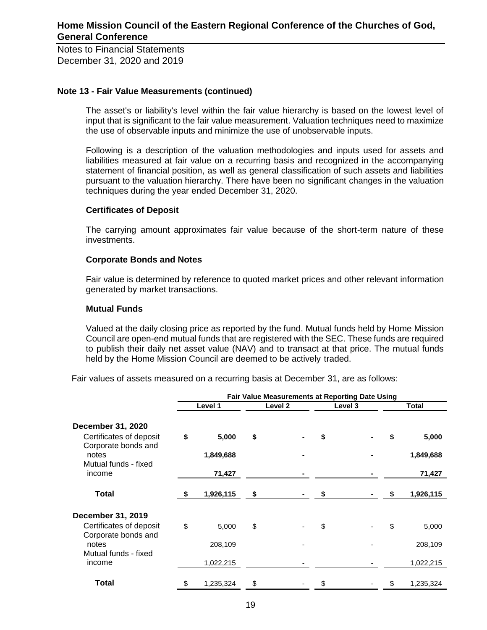#### **Note 13 - Fair Value Measurements (continued)**

The asset's or liability's level within the fair value hierarchy is based on the lowest level of input that is significant to the fair value measurement. Valuation techniques need to maximize the use of observable inputs and minimize the use of unobservable inputs.

Following is a description of the valuation methodologies and inputs used for assets and liabilities measured at fair value on a recurring basis and recognized in the accompanying statement of financial position, as well as general classification of such assets and liabilities pursuant to the valuation hierarchy. There have been no significant changes in the valuation techniques during the year ended December 31, 2020.

#### **Certificates of Deposit**

The carrying amount approximates fair value because of the short-term nature of these investments.

#### **Corporate Bonds and Notes**

Fair value is determined by reference to quoted market prices and other relevant information generated by market transactions.

#### **Mutual Funds**

Valued at the daily closing price as reported by the fund. Mutual funds held by Home Mission Council are open-end mutual funds that are registered with the SEC. These funds are required to publish their daily net asset value (NAV) and to transact at that price. The mutual funds held by the Home Mission Council are deemed to be actively traded.

Fair values of assets measured on a recurring basis at December 31, are as follows:

|                                                      | Fair Value Measurements at Reporting Date Using |           |                    |  |         |  |       |           |
|------------------------------------------------------|-------------------------------------------------|-----------|--------------------|--|---------|--|-------|-----------|
|                                                      | Level 1                                         |           | Level <sub>2</sub> |  | Level 3 |  | Total |           |
| December 31, 2020                                    |                                                 |           |                    |  |         |  |       |           |
| Certificates of deposit                              | \$                                              | 5,000     | \$                 |  | \$      |  | \$    | 5,000     |
| Corporate bonds and<br>notes<br>Mutual funds - fixed |                                                 | 1,849,688 |                    |  |         |  |       | 1,849,688 |
| income                                               |                                                 | 71,427    |                    |  |         |  |       | 71,427    |
| <b>Total</b>                                         |                                                 | 1,926,115 | S                  |  |         |  |       | 1,926,115 |
| <b>December 31, 2019</b>                             |                                                 |           |                    |  |         |  |       |           |
| Certificates of deposit<br>Corporate bonds and       | \$                                              | 5,000     | \$                 |  | \$      |  | \$    | 5,000     |
| notes<br>Mutual funds - fixed                        |                                                 | 208,109   |                    |  |         |  |       | 208,109   |
| income                                               |                                                 | 1,022,215 |                    |  |         |  |       | 1,022,215 |
| Total                                                |                                                 | 1,235,324 | \$                 |  | \$      |  |       | 1,235,324 |